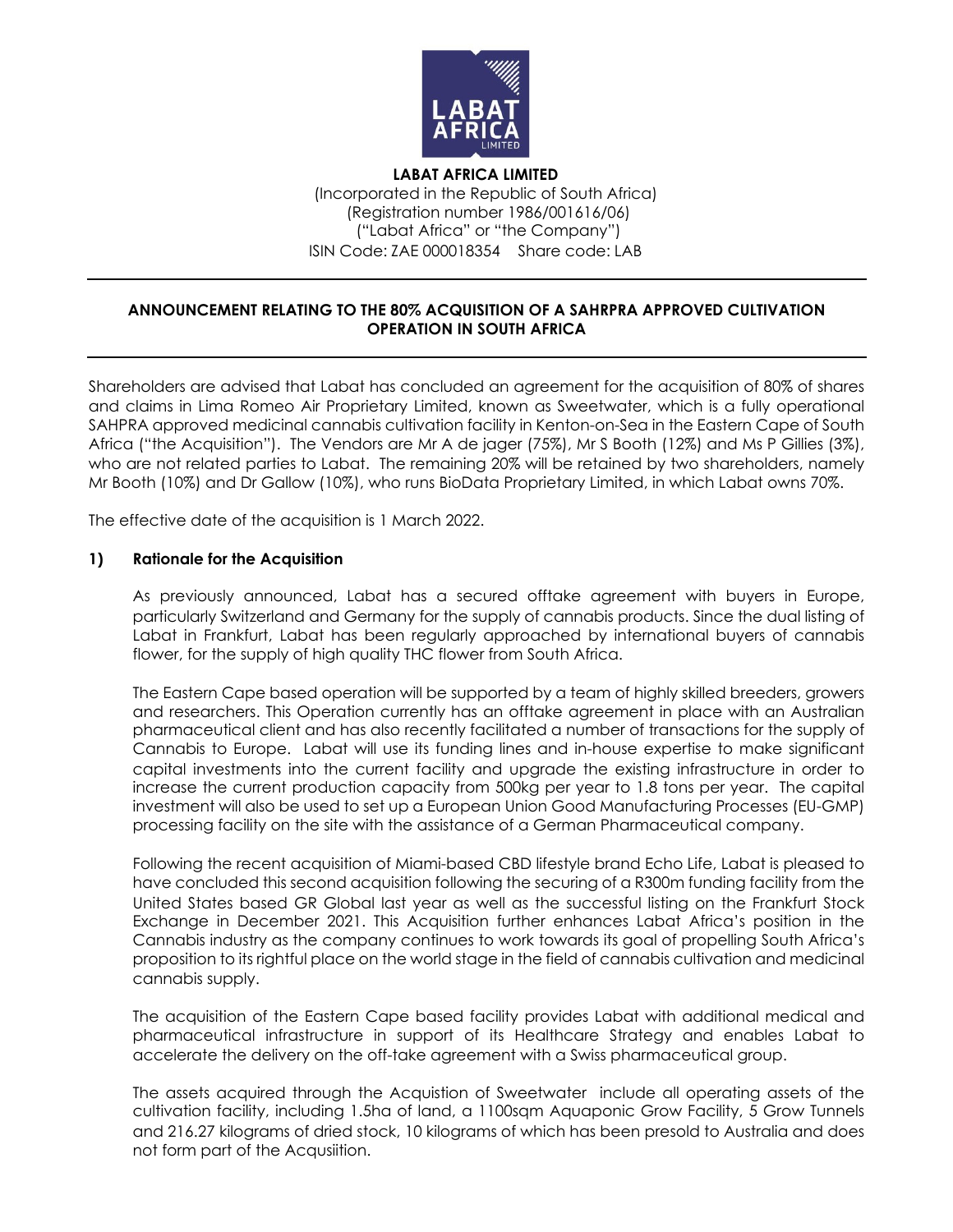

**LABAT AFRICA LIMITED** (Incorporated in the Republic of South Africa) (Registration number 1986/001616/06) ("Labat Africa" or "the Company") ISIN Code: ZAE 000018354 Share code: LAB

## **ANNOUNCEMENT RELATING TO THE 80% ACQUISITION OF A SAHRPRA APPROVED CULTIVATION OPERATION IN SOUTH AFRICA**

Shareholders are advised that Labat has concluded an agreement for the acquisition of 80% of shares and claims in Lima Romeo Air Proprietary Limited, known as Sweetwater, which is a fully operational SAHPRA approved medicinal cannabis cultivation facility in Kenton-on-Sea in the Eastern Cape of South Africa ("the Acquisition"). The Vendors are Mr A de jager (75%), Mr S Booth (12%) and Ms P Gillies (3%), who are not related parties to Labat. The remaining 20% will be retained by two shareholders, namely Mr Booth (10%) and Dr Gallow (10%), who runs BioData Proprietary Limited, in which Labat owns 70%.

The effective date of the acquisition is 1 March 2022.

#### **1) Rationale for the Acquisition**

As previously announced, Labat has a secured offtake agreement with buyers in Europe, particularly Switzerland and Germany for the supply of cannabis products. Since the dual listing of Labat in Frankfurt, Labat has been regularly approached by international buyers of cannabis flower, for the supply of high quality THC flower from South Africa.

The Eastern Cape based operation will be supported by a team of highly skilled breeders, growers and researchers. This Operation currently has an offtake agreement in place with an Australian pharmaceutical client and has also recently facilitated a number of transactions for the supply of Cannabis to Europe. Labat will use its funding lines and in-house expertise to make significant capital investments into the current facility and upgrade the existing infrastructure in order to increase the current production capacity from 500kg per year to 1.8 tons per year. The capital investment will also be used to set up a European Union Good Manufacturing Processes (EU-GMP) processing facility on the site with the assistance of a German Pharmaceutical company.

Following the recent acquisition of Miami-based CBD lifestyle brand Echo Life, Labat is pleased to have concluded this second acquisition following the securing of a R300m funding facility from the United States based GR Global last year as well as the successful listing on the Frankfurt Stock Exchange in December 2021. This Acquisition further enhances Labat Africa's position in the Cannabis industry as the company continues to work towards its goal of propelling South Africa's proposition to its rightful place on the world stage in the field of cannabis cultivation and medicinal cannabis supply.

The acquisition of the Eastern Cape based facility provides Labat with additional medical and pharmaceutical infrastructure in support of its Healthcare Strategy and enables Labat to accelerate the delivery on the off-take agreement with a Swiss pharmaceutical group.

The assets acquired through the Acquistion of Sweetwater include all operating assets of the cultivation facility, including 1.5ha of land, a 1100sqm Aquaponic Grow Facility, 5 Grow Tunnels and 216.27 kilograms of dried stock, 10 kilograms of which has been presold to Australia and does not form part of the Acqusiition.